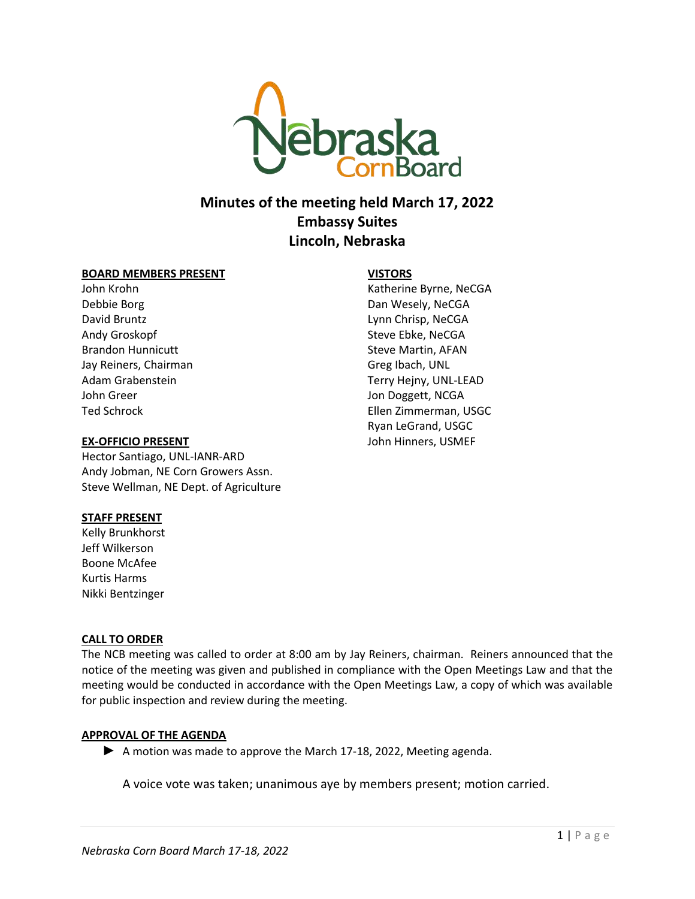

# **Minutes of the meeting held March 17, 2022 Embassy Suites Lincoln, Nebraska**

### **BOARD MEMBERS PRESENT**

John Krohn Debbie Borg David Bruntz Andy Groskopf Brandon Hunnicutt Jay Reiners, Chairman Adam Grabenstein John Greer Ted Schrock

## **EX-OFFICIO PRESENT**

Hector Santiago, UNL-IANR-ARD Andy Jobman, NE Corn Growers Assn. Steve Wellman, NE Dept. of Agriculture

# **STAFF PRESENT**

Kelly Brunkhorst Jeff Wilkerson Boone McAfee Kurtis Harms Nikki Bentzinger

# **CALL TO ORDER**

The NCB meeting was called to order at 8:00 am by Jay Reiners, chairman. Reiners announced that the notice of the meeting was given and published in compliance with the Open Meetings Law and that the meeting would be conducted in accordance with the Open Meetings Law, a copy of which was available for public inspection and review during the meeting.

# **APPROVAL OF THE AGENDA**

► A motion was made to approve the March 17-18, 2022, Meeting agenda.

A voice vote was taken; unanimous aye by members present; motion carried.

**VISTORS**

Katherine Byrne, NeCGA Dan Wesely, NeCGA Lynn Chrisp, NeCGA Steve Ebke, NeCGA Steve Martin, AFAN Greg Ibach, UNL Terry Hejny, UNL-LEAD Jon Doggett, NCGA Ellen Zimmerman, USGC Ryan LeGrand, USGC John Hinners, USMEF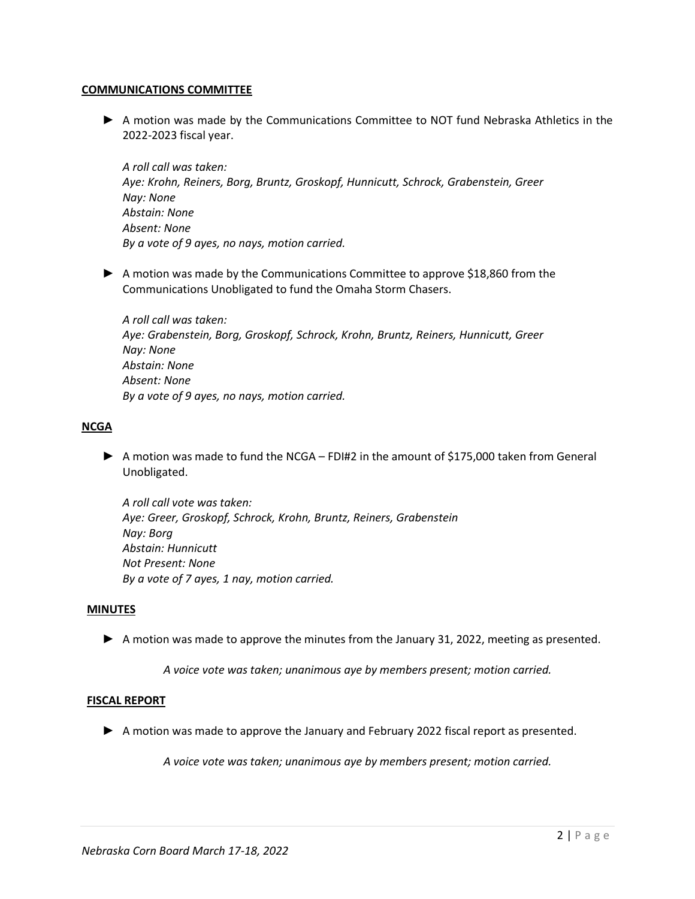### **COMMUNICATIONS COMMITTEE**

► A motion was made by the Communications Committee to NOT fund Nebraska Athletics in the 2022-2023 fiscal year.

*A roll call was taken: Aye: Krohn, Reiners, Borg, Bruntz, Groskopf, Hunnicutt, Schrock, Grabenstein, Greer Nay: None Abstain: None Absent: None By a vote of 9 ayes, no nays, motion carried.*

► A motion was made by the Communications Committee to approve \$18,860 from the Communications Unobligated to fund the Omaha Storm Chasers.

*A roll call was taken: Aye: Grabenstein, Borg, Groskopf, Schrock, Krohn, Bruntz, Reiners, Hunnicutt, Greer Nay: None Abstain: None Absent: None By a vote of 9 ayes, no nays, motion carried.* 

## **NCGA**

► A motion was made to fund the NCGA – FDI#2 in the amount of \$175,000 taken from General Unobligated.

*A roll call vote was taken: Aye: Greer, Groskopf, Schrock, Krohn, Bruntz, Reiners, Grabenstein Nay: Borg Abstain: Hunnicutt Not Present: None By a vote of 7 ayes, 1 nay, motion carried.* 

### **MINUTES**

► A motion was made to approve the minutes from the January 31, 2022, meeting as presented.

*A voice vote was taken; unanimous aye by members present; motion carried.*

### **FISCAL REPORT**

► A motion was made to approve the January and February 2022 fiscal report as presented.

*A voice vote was taken; unanimous aye by members present; motion carried.*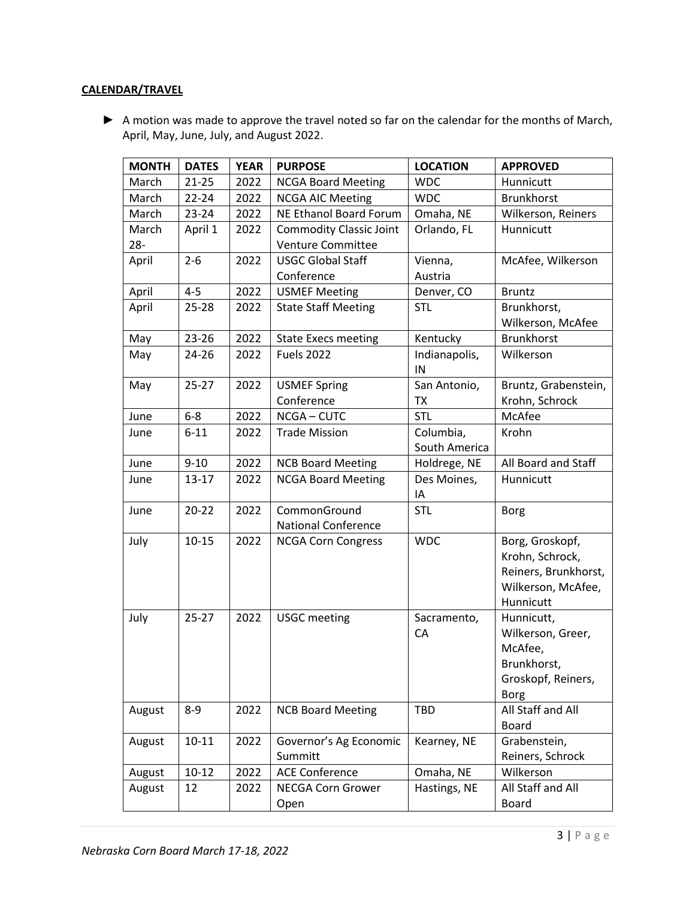# **CALENDAR/TRAVEL**

▶ A motion was made to approve the travel noted so far on the calendar for the months of March, April, May, June, July, and August 2022.

| <b>MONTH</b> | <b>DATES</b> | <b>YEAR</b> | <b>PURPOSE</b>                 | <b>LOCATION</b> | <b>APPROVED</b>              |
|--------------|--------------|-------------|--------------------------------|-----------------|------------------------------|
| March        | $21 - 25$    | 2022        | <b>NCGA Board Meeting</b>      | <b>WDC</b>      | Hunnicutt                    |
| March        | $22 - 24$    | 2022        | <b>NCGA AIC Meeting</b>        | <b>WDC</b>      | <b>Brunkhorst</b>            |
| March        | $23 - 24$    | 2022        | NE Ethanol Board Forum         | Omaha, NE       | Wilkerson, Reiners           |
| March        | April 1      | 2022        | <b>Commodity Classic Joint</b> | Orlando, FL     | Hunnicutt                    |
| $28 -$       |              |             | Venture Committee              |                 |                              |
| April        | $2 - 6$      | 2022        | <b>USGC Global Staff</b>       | Vienna,         | McAfee, Wilkerson            |
|              |              |             | Conference                     | Austria         |                              |
| April        | $4 - 5$      | 2022        | <b>USMEF Meeting</b>           | Denver, CO      | <b>Bruntz</b>                |
| April        | $25 - 28$    | 2022        | <b>State Staff Meeting</b>     | <b>STL</b>      | Brunkhorst,                  |
|              |              |             |                                |                 | Wilkerson, McAfee            |
| May          | 23-26        | 2022        | <b>State Execs meeting</b>     | Kentucky        | <b>Brunkhorst</b>            |
| May          | 24-26        | 2022        | <b>Fuels 2022</b>              | Indianapolis,   | Wilkerson                    |
|              |              |             |                                | IN              |                              |
| May          | $25 - 27$    | 2022        | <b>USMEF Spring</b>            | San Antonio,    | Bruntz, Grabenstein,         |
|              |              |             | Conference                     | <b>TX</b>       | Krohn, Schrock               |
| June         | $6-8$        | 2022        | NCGA-CUTC                      | <b>STL</b>      | McAfee                       |
| June         | $6 - 11$     | 2022        | <b>Trade Mission</b>           | Columbia,       | Krohn                        |
|              |              |             |                                | South America   |                              |
| June         | $9 - 10$     | 2022        | <b>NCB Board Meeting</b>       | Holdrege, NE    | All Board and Staff          |
| June         | $13 - 17$    | 2022        | <b>NCGA Board Meeting</b>      | Des Moines,     | Hunnicutt                    |
|              |              |             |                                | ΙA              |                              |
| June         | $20 - 22$    | 2022        | CommonGround                   | <b>STL</b>      | <b>Borg</b>                  |
|              |              |             | <b>National Conference</b>     |                 |                              |
| July         | $10 - 15$    | 2022        | <b>NCGA Corn Congress</b>      | <b>WDC</b>      | Borg, Groskopf,              |
|              |              |             |                                |                 | Krohn, Schrock,              |
|              |              |             |                                |                 | Reiners, Brunkhorst,         |
|              |              |             |                                |                 | Wilkerson, McAfee,           |
|              |              |             |                                |                 | Hunnicutt                    |
| July         | $25 - 27$    | 2022        | <b>USGC</b> meeting            | Sacramento,     | Hunnicutt,                   |
|              |              |             |                                | CA              | Wilkerson, Greer,<br>McAfee, |
|              |              |             |                                |                 | Brunkhorst.                  |
|              |              |             |                                |                 | Groskopf, Reiners,           |
|              |              |             |                                |                 | <b>Borg</b>                  |
| August       | $8 - 9$      | 2022        | <b>NCB Board Meeting</b>       | <b>TBD</b>      | All Staff and All            |
|              |              |             |                                |                 | <b>Board</b>                 |
| August       | $10 - 11$    | 2022        | Governor's Ag Economic         | Kearney, NE     | Grabenstein,                 |
|              |              |             | Summitt                        |                 | Reiners, Schrock             |
| August       | $10 - 12$    | 2022        | <b>ACE Conference</b>          | Omaha, NE       | Wilkerson                    |
| August       | 12           | 2022        | <b>NECGA Corn Grower</b>       | Hastings, NE    | All Staff and All            |
|              |              |             | Open                           |                 | Board                        |
|              |              |             |                                |                 |                              |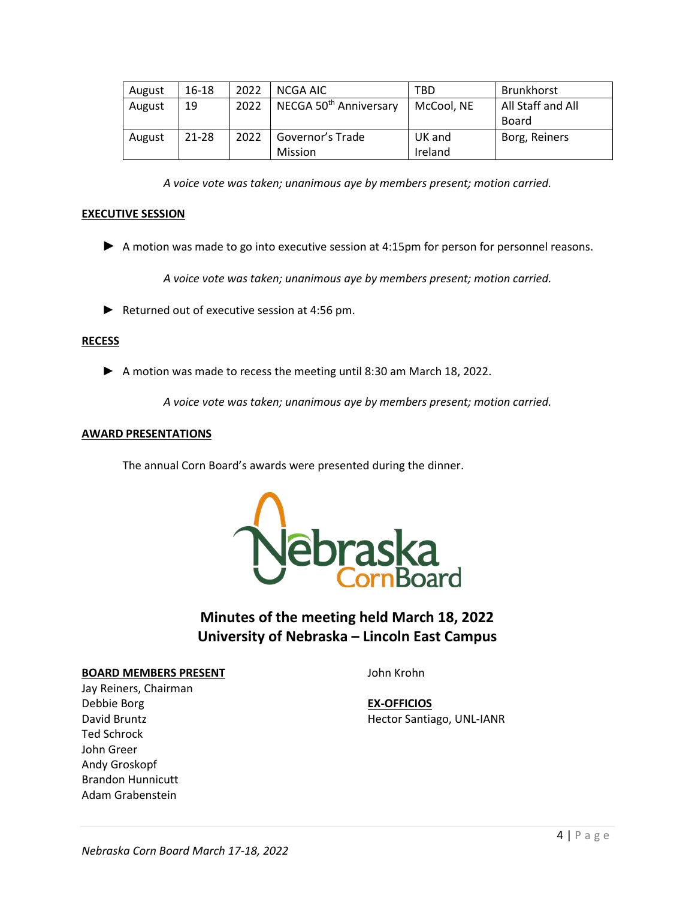| August | 16-18 | 2022 | NCGA AIC                           | TBD        | Brunkhorst        |
|--------|-------|------|------------------------------------|------------|-------------------|
| August | 19    | 2022 | NECGA 50 <sup>th</sup> Anniversary | McCool, NE | All Staff and All |
|        |       |      |                                    |            | Board             |
| August | 21-28 | 2022 | Governor's Trade                   | UK and     | Borg, Reiners     |
|        |       |      | Mission                            | Ireland    |                   |

*A voice vote was taken; unanimous aye by members present; motion carried.*

# **EXECUTIVE SESSION**

► A motion was made to go into executive session at 4:15pm for person for personnel reasons.

*A voice vote was taken; unanimous aye by members present; motion carried.* 

► Returned out of executive session at 4:56 pm.

### **RECESS**

► A motion was made to recess the meeting until 8:30 am March 18, 2022.

*A voice vote was taken; unanimous aye by members present; motion carried.*

### **AWARD PRESENTATIONS**

The annual Corn Board's awards were presented during the dinner.



# **Minutes of the meeting held March 18, 2022 University of Nebraska – Lincoln East Campus**

#### **BOARD MEMBERS PRESENT**

John Krohn

**EX-OFFICIOS** Hector Santiago, UNL-IANR

Jay Reiners, Chairman Debbie Borg David Bruntz Ted Schrock John Greer Andy Groskopf Brandon Hunnicutt Adam Grabenstein